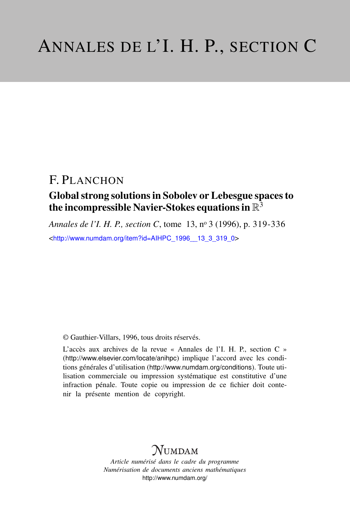## F. PLANCHON

### Global strong solutions in Sobolev or Lebesgue spaces to the incompressible Navier-Stokes equations in  $\mathbb{R}^{\bar{3}}$

*Annales de l'I. H. P., section C*, tome 13, n<sup>o</sup> 3 (1996), p. 319-336

<[http://www.numdam.org/item?id=AIHPC\\_1996\\_\\_13\\_3\\_319\\_0](http://www.numdam.org/item?id=AIHPC_1996__13_3_319_0)>

© Gauthier-Villars, 1996, tous droits réservés.

L'accès aux archives de la revue « Annales de l'I. H. P., section C » (<http://www.elsevier.com/locate/anihpc>) implique l'accord avec les conditions générales d'utilisation (<http://www.numdam.org/conditions>). Toute utilisation commerciale ou impression systématique est constitutive d'une infraction pénale. Toute copie ou impression de ce fichier doit contenir la présente mention de copyright.

# $N$ UMDAM

*Article numérisé dans le cadre du programme Numérisation de documents anciens mathématiques* <http://www.numdam.org/>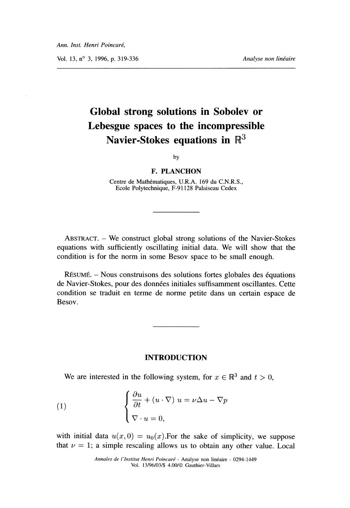Vol. 13, n° 3, 1996, p. 319-336 Analyse non linéaire

# Global strong solutions in Sobolev or Lebesgue spaces to the incompressible Navier-Stokes equations in  $\mathbb{R}^3$

by

#### F. PLANCHON

Centre de Mathématiques, U.R.A. 169 du C.N.R.S., Ecole Polytechnique, F-91128 Palaiseau Cedex

ABSTRACT. - We construct global strong solutions of the Navier-Stokes equations with sufficiently oscillating initial data. We will show that the condition is for the norm in some Besov space to be small enough.

RESUME. - Nous construisons des solutions fortes globales des equations de Navier-Stokes, pour des données initiales suffisamment oscillantes. Cette condition se traduit en terme de norme petite dans un certain espace de Besov.

#### INTRODUCTION

We are interested in the following system, for  $x \in \mathbb{R}^3$  and  $t > 0$ ,

(1) 
$$
\begin{cases} \frac{\partial u}{\partial t} + (u \cdot \nabla) u = \nu \Delta u - \nabla p \\ \nabla \cdot u = 0, \end{cases}
$$

with initial data  $u(x, 0) = u_0(x)$ . For the sake of simplicity, we suppose that  $\nu = 1$ ; a simple rescaling allows us to obtain any other value. Local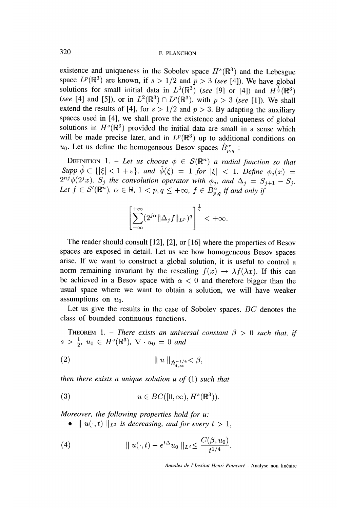existence and uniqueness in the Sobolev space  $H<sup>s</sup>(\mathbb{R}<sup>3</sup>)$  and the Lebesgue space  $L^p(\mathbb{R}^3)$  are known, if  $s > 1/2$  and  $p > 3$  (see [4]). We have global solutions for small initial data in  $L^3(\mathbb{R}^3)$  (see [9] or [4]) and  $H^{\frac{1}{2}}(\mathbb{R}^3)$ (see [4] and [5]), or in  $L^2(\mathbb{R}^3) \cap L^p(\mathbb{R}^3)$ , with  $p > 3$  (see [1]). We shall extend the results of [4], for  $s > 1/2$  and  $p > 3$ . By adapting the auxiliary spaces used in [4], we shall prove the existence and uniqueness of global solutions in  $H^s(\mathbb{R}^3)$  provided the initial data are small in a sense which will be made precise later, and in  $L^p(\mathbb{R}^3)$  up to additional conditions on  $u_0$ . Let us define the homogeneous Besov spaces  $\dot{B}_{p,q}^{\alpha}$ :

DEFINITION 1. - Let us choose  $\phi \in \mathcal{S}(\mathbb{R}^n)$  a radial function so that Supp  $\hat{\phi} \subset \{|\xi| < 1 + \varepsilon\}$ , and  $\hat{\phi}(\xi) = 1$  for  $|\xi| < 1$ . Define  $\phi_i(x) =$  $2^{nj}\phi(2^jx)$ ,  $S_j$  the convolution operator with  $\phi_j$ , and  $\Delta_j = S_{j+1} - S_j$ . Let  $f \in \mathcal{S}'(\mathbb{R}^n)$ ,  $\alpha \in \mathbb{R}$ ,  $1 < p, q \leq +\infty$ ,  $f \in \dot{B}_{p,q}^{\alpha}$  if and only if

$$
\left[\sum_{-\infty}^{+\infty} (2^{j\alpha} \|\Delta_j f\|_{L^p})^q\right]^{\frac{1}{q}} < +\infty.
$$

The reader should consult [12], [2], or [ 16] where the properties of Besov spaces are exposed in detail. Let us see how homogeneous Besov spaces arise. If we want to construct a global solution, it is useful to control a norm remaining invariant by the rescaling  $f(x) \to \lambda f(\lambda x)$ . If this can be achieved in a Besov space with  $\alpha < 0$  and therefore bigger than the usual space where we want to obtain a solution, we will have weaker assumptions on  $u_0$ .

Let us give the results in the case of Sobolev spaces. BC denotes the class of bounded continuous functions.

THEOREM 1. – There exists an universal constant  $\beta > 0$  such that, if  $s > \frac{1}{2}$ ,  $u_0 \in H^s(\mathbb{R}^3)$ ,  $\nabla \cdot u_0 = 0$  and

(2) 
$$
\| u \|_{\dot{B}^{-1/4}_{4,\infty}} < \beta,
$$

then there exists a unique solution  $u$  of  $(1)$  such that

(3) 
$$
u \in BC([0,\infty), H^s(\mathbb{R}^3)).
$$

Moreover, the following properties hold for u:

•  $||u(\cdot, t)||_{L^2}$  is decreasing, and for every  $t > 1$ ,

(4) 
$$
\| u(\cdot, t) - e^{t\Delta} u_0 \|_{L^2} \leq \frac{C(\beta, u_0)}{t^{1/4}}.
$$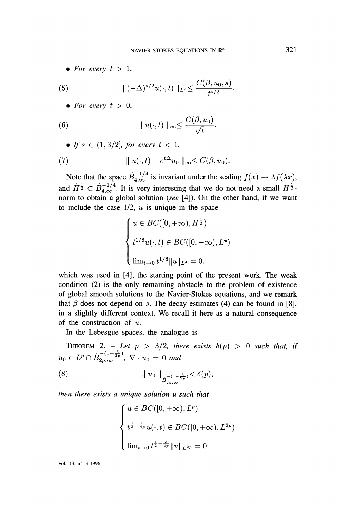• For every  $t > 1$ ,

(5) 
$$
\|(-\Delta)^{s/2}u(\cdot,t)\|_{L^2}\leq \frac{C(\beta,u_0,s)}{t^{s/2}}
$$

• For every  $t > 0$ ,

(6) 
$$
\|u(\cdot,t)\|_{\infty} \leq \frac{C(\beta, u_0)}{\sqrt{t}}.
$$

• If  $s \in (1,3/2]$ , for every  $t < 1$ ,

(7) 
$$
\|u(\cdot,t)-e^{t\Delta}u_0\|_{\infty}\leq C(\beta,u_0).
$$

Note that the space  $B_{4,\infty}$  is invariant under the scaling and  $H^{\frac{1}{2}} \subset B^{-1/4}_{4,\infty}$ . It is very interesting that we do not need a small  $H^{\frac{1}{2}}$ . norm to obtain a global solution (see [4]). On the other hand, if we want to include the case  $1/2$ ,  $u$  is unique in the space

$$
\begin{cases} u \in BC([0, +\infty), H^{\frac{1}{2}}) \\ t^{1/8}u(\cdot, t) \in BC([0, +\infty), L^4) \\ \lim_{t \to 0} t^{1/8} ||u||_{L^4} = 0. \end{cases}
$$

which was used in [4], the starting point of the present work. The weak condition (2) is the only remaining obstacle to the problem of existence of global smooth solutions to the Navier-Stokes equations, and we remark that  $\beta$  does not depend on s. The decay estimates (4) can be found in [8], in a slightly different context. We recall it here as a natural consequence of the construction of  $u$ .

In the Lebesgue spaces, the analogue is

THEOREM 2. - Let  $p > 3/2$ , there exists  $\delta(p) > 0$  such that, if  $u_0 \in L^p \cap \dot{B}_{2p,\infty}^{-\left(1-\frac{3}{2p}\right)}$ ,  $\nabla \cdot u_0 = 0$  and

(8) 
$$
\|u_0\|_{\dot{B}_{2p,\infty}^{-(1-\frac{3}{2p})}} < \delta(p),
$$

then there exists a unique solution u such that

$$
\begin{cases} u \in BC([0, +\infty), L^p) \\ t^{\frac{1}{2} - \frac{3}{4p}} u(\cdot, t) \in BC([0, +\infty), L^{2p}) \\ \lim_{t \to 0} t^{\frac{1}{2} - \frac{3}{4p}} \|u\|_{L^{2p}} = 0. \end{cases}
$$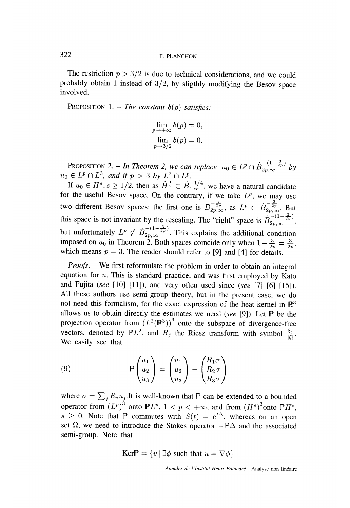The restriction  $p > 3/2$  is due to technical considerations, and we could probably obtain 1 instead of 3/2, by sligthly modifying the Besov space involved.

PROPOSITION 1. - The constant  $\delta(p)$  satisfies:

$$
\lim_{p \to +\infty} \delta(p) = 0,
$$
  

$$
\lim_{p \to 3/2} \delta(p) = 0.
$$

**PROPOSITION 2.** - In Theorem 2, we can replace  $u_0 \in L^p \cap B_{2p,\infty}$  by  $u_0 \in L^2 \cap L^2$ , and if  $p > 3$  by  $L^2 \cap L^2$ .

If  $u_0 \in H^s$ ,  $s \ge 1/2$ , then as  $\dot{H}^{\frac{1}{2}} \subset \dot{B}_{4,\infty}^{-1/4}$ , we have a natural candidate for the useful Besov space. On the contrary, if we take  $L^p$ , we may use two different Besov spaces: the first one is  $B_{2p,\infty}^{-\frac{3}{2p}}$ , as  $L^p \subset \dot{B}_{2p,\infty}^{-\frac{3}{2p}}$ . But this space is not invariant by the rescaling. The "right" space is  $\vec{B}_{2p,\infty}^{-1-\frac{3}{2p}}$ , but unfortunately  $L^p \not\subset B_{2p,\infty}^{\infty}$  <sup>2p</sup><sup>'</sup>. This explains the additional condition imposed on  $u_0$  in Theorem 2. Both spaces coincide only when  $1 - \frac{3}{2p} = \frac{1}{2}$ which means  $p = 3$ . The reader should refer to [9] and [4] for details.

*Proofs.* – We first reformulate the problem in order to obtain an integral equation for  $u$ . This is standard practice, and was first employed by Kato and Fujita (see  $[10]$   $[11]$ ), and very often used since (see  $[7]$   $[6]$   $[15]$ ). All these authors use semi-group theory, but in the present case, we do not need this formalism, for the exact expression of the heat kernel in  $\mathbb{R}^3$ allows us to obtain directly the estimates we need (see [9]). Let  $P$  be the projection operator from  $(L^2(\mathbb{R}^3))^3$  onto the subspace of divergence-free vectors, denoted by  $PL^2$ , and  $R_j$  the Riesz transform with symbol  $\frac{\xi_j}{|\xi|}$ . We easily see that

(9) 
$$
\mathbb{P}\begin{pmatrix} u_1 \\ u_2 \\ u_3 \end{pmatrix} = \begin{pmatrix} u_1 \\ u_2 \\ u_3 \end{pmatrix} - \begin{pmatrix} R_1 \sigma \\ R_2 \sigma \\ R_3 \sigma \end{pmatrix}
$$

where  $\sigma = \sum_j R_j u_j$ . It is well-known that  $\mathbb P$  can be extended to a bounded operator from  $(L^p)$ <sup>o</sup> onto  $PL^p$ ,  $1 < p < +\infty$ , and from  $s \geq 0$ . Note that P commutes with  $S(t) = e^{t\Delta}$ , whereas on an open set  $\Omega$ , we need to introduce the Stokes operator  $-\mathbb{P}\Delta$  and the associated semi-group. Note that

$$
Ker \mathbb{P} = \{u \mid \exists \phi \text{ such that } u = \nabla \phi\}.
$$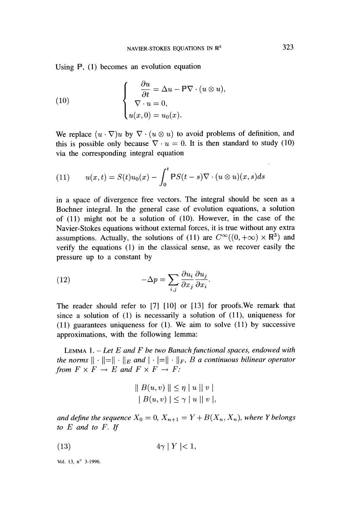Using P, (1) becomes an evolution equation

(10) 
$$
\begin{cases} \frac{\partial u}{\partial t} = \Delta u - \mathbb{P} \nabla \cdot (u \otimes u), \\ \nabla \cdot u = 0, \\ u(x, 0) = u_0(x). \end{cases}
$$

We replace  $(u \cdot \nabla)u$  by  $\nabla \cdot (u \otimes u)$  to avoid problems of definition, and this is possible only because  $\nabla \cdot u = 0$ . It is then standard to study (10) via the corresponding integral equation

(11) 
$$
u(x,t) = S(t)u_0(x) - \int_0^t \mathbb{P}S(t-s)\nabla \cdot (u\otimes u)(x,s)ds
$$

in a space of divergence free vectors. The integral should be seen as a Bochner integral. In the general case of evolution equations, a solution of (11) might not be a solution of (10). However, in the case of the Navier-Stokes equations without external forces, it is true without any extra assumptions. Actually, the solutions of (11) are  $C^{\infty}((0, +\infty) \times \mathbb{R}^3)$  and verify the equations (1) in the classical sense, as we recover easily the pressure up to a constant by

(12) 
$$
-\Delta p = \sum_{i,j} \frac{\partial u_i}{\partial x_j} \frac{\partial u_j}{\partial x_i}.
$$

The reader should refer to [7] [10] or [13] for proofs.We remark that since a solution of (1) is necessarily a solution of (11), uniqueness for (11) guarantees uniqueness for (1). We aim to solve (11) by successive approximations, with the following lemma:

LEMMA 1.  $-$  Let E and F be two Banach functional spaces, endowed with the norms  $\|\cdot\|=\|\cdot\|_E$  and  $|\cdot|= \|\cdot\|_F$ , B a continuous bilinear operator from  $F \times F \to E$  and  $F \times F \to F$ :

$$
\begin{aligned} \parallel B(u,v) \parallel &\leq \eta \mid u \mid \mid v \mid \\ \mid B(u,v) \mid &\leq \gamma \mid u \mid \mid v \mid, \end{aligned}
$$

and define the sequence  $X_0 = 0$ ,  $X_{n+1} = Y + B(X_n, X_n)$ , where Y belongs to E and to F. If

 $4\gamma$  |  $Y$  |  $< 1$ ,  $(13)$ 

Vol. 13, n° 3-1996.

 $\mathbf{r}$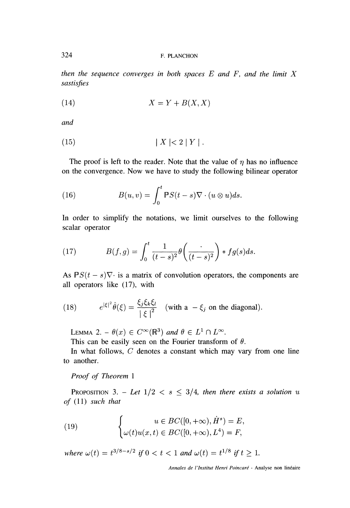then the sequence converges in both spaces  $E$  and  $F$ , and the limit  $X$ sastisfies

$$
(14) \t\t X = Y + B(X, X)
$$

and

$$
(15) \t\t\t |X| < 2|Y|.
$$

The proof is left to the reader. Note that the value of  $\eta$  has no influence on the convergence. Now we have to study the following bilinear operator

(16) 
$$
B(u,v) = \int_0^t \mathbb{P}S(t-s)\nabla \cdot (u\otimes u)ds.
$$

In order to simplify the notations, we limit ourselves to the following scalar operator

(17) 
$$
B(f,g) = \int_0^t \frac{1}{(t-s)^2} \theta\left(\frac{\cdot}{(t-s)^2}\right) * fg(s) ds.
$$

As  $PS(t-s)\nabla$  is a matrix of convolution operators, the components are all operators like (17), with

(18) 
$$
e^{|\xi|^2} \hat{\theta}(\xi) = \frac{\xi_j \xi_k \xi_l}{|\xi|^2} \quad \text{(with a } -\xi_j \text{ on the diagonal)}.
$$

LEMMA 2. –  $\theta(x) \in C^{\infty}(\mathbb{R}^{3})$  and  $\theta \in L^{1} \cap L^{\infty}$ .

This can be easily seen on the Fourier transform of  $\theta$ .

In what follows,  $C$  denotes a constant which may vary from one line to another.

#### Proof of Theorem 1

PROPOSITION 3. - Let  $1/2 < s \leq 3/4$ , then there exists a solution u of (11) such that

(19) 
$$
\begin{cases} u \in BC([0, +\infty), \dot{H}^s) = E, \\ \omega(t)u(x, t) \in BC([0, +\infty), L^4) = F, \end{cases}
$$

where  $\omega(t) = t^{3/8 - s/2}$  if  $0 < t < 1$  and  $\omega(t) = t^{1/8}$  if  $t \ge 1$ .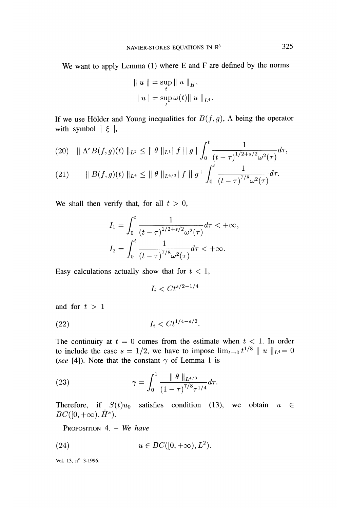We want to apply Lemma (1) where E and F are defined by the norms

$$
||u|| = \sup_{t} ||u||_{\dot{H}^{s}}
$$
  
\n $|u| = \sup_{t} \omega(t) ||u||_{L^{4}}.$ 

If we use Hölder and Young inequalities for  $B(f, g)$ ,  $\Lambda$  being the operator with symbol  $\vert \xi \vert$ ,

$$
(20) \quad \|\Lambda^s B(f,g)(t)\|_{L^2} \le \|\theta\|_{L^1} \|f\|_{g} \| \int_0^t \frac{1}{(t-\tau)^{1/2+s/2} \omega^2(\tau)} d\tau,
$$
\n
$$
(21) \quad \|\Pi^s B(f,\cdot)(t)\|_{L^{\infty}} \le \|\theta\|_{L^1} \|f\|_{L^1} \|f\|_{L^1} \|t^{-1}\|_{L^1} \le \frac{1}{\tau}.
$$

(21) 
$$
\|B(f,g)(t)\|_{L^4}\leq \|\theta\|_{L^{4/3}}\|f\|g\|\int_0^{\frac{1}{t}}\frac{1}{(t-\tau)^{7/8}\omega^2(\tau)}d\tau.
$$

We shall then verify that, for all  $t > 0$ ,

$$
I_1 = \int_0^t \frac{1}{(t-\tau)^{1/2+s/2} \omega^2(\tau)} d\tau < +\infty,
$$
  
\n
$$
I_2 = \int_0^t \frac{1}{(t-\tau)^{7/8} \omega^2(\tau)} d\tau < +\infty.
$$

Easy calculations actually show that for  $t < 1$ ,

$$
I_i < Ct^{s/2-1/4}
$$

and for  $t > 1$ 

(22) 
$$
I_i < Ct^{1/4-s/2}.
$$

The continuity at  $t = 0$  comes from the estimate when  $t < 1$ . In order to include the case  $s = 1/2$ , we have to impose  $\lim_{t\to 0} t^{1/8} \parallel u \parallel_{L^4} = 0$ (see [4]). Note that the constant  $\gamma$  of Lemma 1 is

(23) 
$$
\gamma = \int_0^1 \frac{\|\theta\|_{L^{4/3}}}{(1-\tau)^{7/8}\tau^{1/4}} d\tau.
$$

Therefore, if  $S(t)u_0$  satisfies condition (13), we obtain  $u \in$  $BC([0,+\infty), \dot{H}^s).$ 

PROPOSITION 4. - We have

$$
(24) \t u \in BC([0, +\infty), L^2).
$$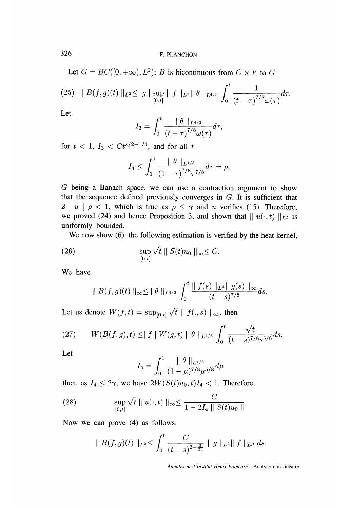Let  $G = BC([0, +\infty), L^2)$ ; B is bicontinuous from  $G \times F$  to G:

$$
(25) \| B(f,g)(t) \|_{L^2} \leq \| g \| \sup_{[0,t]} \| f \|_{L^2} \| \theta \|_{L^{4/3}} \int_0^t \frac{1}{(t-\tau)^{7/8} \omega(\tau)} d\tau.
$$

Let

$$
I_3 = \int_0^t \frac{\parallel \theta \parallel_{L^{4/3}}}{(t-\tau)^{7/8} \omega(\tau)} d\tau,
$$

for  $t < 1$ ,  $I_3 < C t^{s/2-1/4}$ , and for all t

$$
I_3 \leq \int_0^1 \frac{\|\theta\|_{L^{4/3}}}{\left(1-\tau\right)^{7/8} \tau^{7/8}} d\tau = \rho.
$$

G being a Banach space, we can use a contraction argument to show that the sequence defined previously converges in G. It is sufficient that  $2 \mid u \mid \rho < 1$ , which is true as  $\rho \leq \gamma$  and u verifies (15). Therefore, we proved (24) and hence Proposition 3, and shown that  $|| u(·, t) ||_{L^2}$  is uniformly bounded.

We now show (6): the following estimation is verified by the heat kernel,

(26) 
$$
\sup_{[0,t]} \sqrt{t} \| S(t) u_0 \|_{\infty} \leq C.
$$

We have

$$
\|B(f,g)(t)\|_{\infty} \leq \|\theta\|_{L^{4/3}} \int_0^t \frac{\|f(s)\|_{L^4} \|g(s)\|_{\infty}}{(t-s)^{7/8}} ds.
$$

Let us denote  $W(f, t) = \sup_{[0,t]} \sqrt{t} || f(., s) ||_{\infty}$ , then

(27) 
$$
W(B(f,g),t) \leq |f| W(g,t) \| \theta \|_{L^{4/3}} \int_0^t \frac{\sqrt{t}}{(t-s)^{7/8}s^{5/8}} ds.
$$

Let

$$
I_4 = \int_0^1 \frac{\|\theta\|_{L^{4/3}}}{(1-\mu)^{7/8} \mu^{5/8}} d\mu
$$

then, as  $I_4 \leq 2\gamma$ , we have  $2W(S(t)u_0, t)I_4 < 1$ . Therefore,

(28) 
$$
\sup_{[0,t]} \sqrt{t} \parallel u(\cdot,t) \parallel_{\infty} \leq \frac{C}{1 - 2I_4 \parallel S(t)u_0 \parallel}.
$$

Now we can prove (4) as follows:

$$
\|B(f,g)(t)\|_{L^2}\leq \int_0^t \frac{C}{(t-s)^{2-\frac{3}{2q}}}\|g\|_{L^2}\|f\|_{L^{\beta}}\ ds,
$$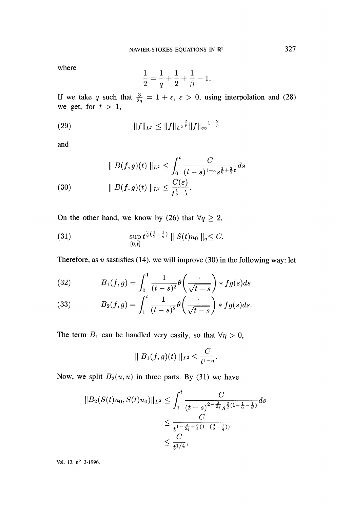where

$$
\frac{1}{2} = \frac{1}{q} + \frac{1}{2} + \frac{1}{\beta} - 1.
$$

If we take q such that  $\frac{3}{2q} = 1 + \varepsilon, \varepsilon > 0$ , using interpolation and (28) we get, for  $t > 1$ ,

(29) 
$$
||f||_{L^p} \leq ||f||_{L^2}^{\frac{2}{p}} ||f||_{\infty}^{1-\frac{2}{p}}
$$

and

(30) 
$$
\| B(f,g)(t) \|_{L^2} \leq \int_0^t \frac{C}{(t-s)^{1-\epsilon} s^{\frac{1}{6} + \frac{2}{3}\epsilon}} ds
$$

$$
\| B(f,g)(t) \|_{L^2} \leq \frac{C(\epsilon)}{t^{\frac{1}{6} - \frac{\epsilon}{3}}}.
$$

On the other hand, we know by (26) that  $\forall q \geq 2$ ,

(31) 
$$
\sup_{[0,t]} t^{\frac{3}{2}(\frac{1}{2}-\frac{1}{q})} \| S(t)u_0 \|_q \leq C.
$$

Therefore, as  $u$  sastisfies (14), we will improve (30) in the following way: let

(32) 
$$
B_1(f,g) = \int_0^1 \frac{1}{(t-s)^2} \theta\left(\frac{\cdot}{\sqrt{t-s}}\right) * fg(s) ds
$$

(33) 
$$
B_2(f,g) = \int_1^t \frac{1}{(t-s)^2} \theta\left(\frac{\cdot}{\sqrt{t-s}}\right) * fg(s) ds.
$$

The term  $B_1$  can be handled very easily, so that  $\forall \eta > 0$ ,

$$
\| B_1(f,g)(t) \|_{L^2} \leq \frac{C}{t^{1-\eta}}.
$$

Now, we split  $B_2(u, u)$  in three parts. By (31) we have

$$
||B_2(S(t)u_0, S(t)u_0)||_{L^2} \le \int_1^t \frac{C}{(t-s)^{2-\frac{3}{2q}}s^{\frac{3}{2}(1-\frac{1}{\alpha}-\frac{1}{\beta})}} ds
$$
  

$$
\le \frac{C}{t^{1-\frac{3}{2q}+\frac{3}{2}(1-(\frac{3}{2}-\frac{1}{q}))}}
$$
  

$$
\le \frac{C}{t^{1/4}},
$$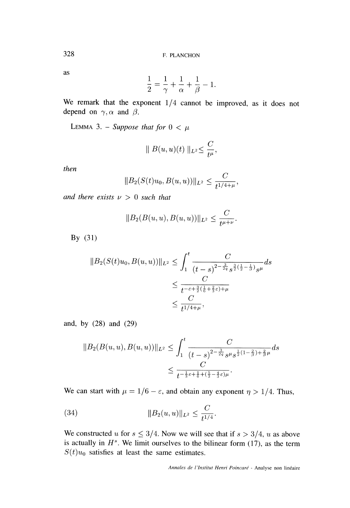as

$$
\frac{1}{2} = \frac{1}{\gamma} + \frac{1}{\alpha} + \frac{1}{\beta} - 1.
$$

We remark that the exponent  $1/4$  cannot be improved, as it does not depend on  $\gamma$ ,  $\alpha$  and  $\beta$ .

LEMMA 3. - Suppose that for  $0 < \mu$ 

$$
\parallel B(u,u)(t) \parallel_{L^2} \leq \frac{C}{t^{\mu}},
$$

then

$$
||B_2(S(t)u_0, B(u, u))||_{L^2} \leq \frac{C}{t^{1/4 + \mu}},
$$

and there exists  $\nu > 0$  such that

$$
||B_2(B(u, u), B(u, u))||_{L^2} \leq \frac{C}{t^{\mu+\nu}}.
$$

By  $(31)$ 

$$
||B_2(S(t)u_0, B(u, u))||_{L^2} \le \int_1^t \frac{C}{(t - s)^{2 - \frac{3}{2q}} s^{\frac{3}{2}(\frac{1}{2} - \frac{1}{\beta})} s^{\mu}} ds
$$
  

$$
\le \frac{C}{t^{-\varepsilon + \frac{3}{2}(\frac{1}{6} + \frac{2}{3}\varepsilon) + \mu}}
$$
  

$$
\le \frac{C}{t^{1/4 + \mu}},
$$

and, by (28) and (29)

$$
||B_2(B(u, u), B(u, u))||_{L^2} \le \int_1^t \frac{C}{(t - s)^{2 - \frac{3}{2q}} s^{\mu} s^{\frac{1}{2}(1 - \frac{2}{\beta}) + \frac{2}{\beta}\mu}} ds
$$
  
 
$$
\le \frac{C}{t^{-\frac{1}{3}\varepsilon + \frac{1}{6} + (\frac{5}{3} - \frac{4}{3}\varepsilon)\mu}}.
$$

We can start with  $\mu = 1/6 - \varepsilon$ , and obtain any exponent  $\eta > 1/4$ . Thus,

(34) 
$$
||B_2(u, u)||_{L^2} \leq \frac{C}{t^{1/4}}.
$$

We constructed u for  $s \leq 3/4$ . Now we will see that if  $s > 3/4$ , u as above is actually in  $H<sup>s</sup>$ . We limit ourselves to the bilinear form (17), as the term  $S(t)u_0$  satisfies at least the same estimates.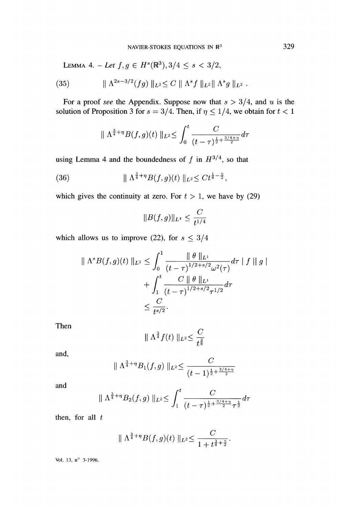LEMMA 4. - Let  $f, g \in H^{s}(\mathbb{R}^{3}), 3/4 \leq s < 3/2$ ,

(35) 
$$
\| \Lambda^{2s-3/2}(fg) \|_{L^2} \leq C \| \Lambda^s f \|_{L^2} \| \Lambda^s g \|_{L^2}.
$$

For a proof see the Appendix. Suppose now that  $s > 3/4$ , and u is the solution of Proposition 3 for  $s = 3/4$ . Then, if  $\eta \leq 1/4$ , we obtain for  $t < 1$ 

$$
\|\Lambda^{\frac{3}{4}+\eta}B(f,g)(t)\|_{L^2}\leq \int_0^t \frac{C}{(t-\tau)^{\frac{1}{2}+\frac{3/4+\eta}{2}}}d\tau
$$

using Lemma 4 and the boundedness of f in  $H^{3/4}$ , so that

(36) 
$$
\| \Lambda^{\frac{3}{4} + \eta} B(f, g)(t) \|_{L^2} \leq C t^{\frac{1}{8} - \frac{\eta}{2}},
$$

which gives the continuity at zero. For  $t > 1$ , we have by (29)

$$
||B(f,g)||_{L^4}\leq \frac{C}{t^{1/4}}
$$

which allows us to improve (22), for  $s \leq 3/4$ 

$$
\|\Lambda^s B(f,g)(t)\|_{L^2} \le \int_0^1 \frac{\|\theta\|_{L^1}}{(t-\tau)^{1/2+s/2} \omega^2(\tau)} d\tau \|f\|g\| + \int_1^t \frac{C \|\theta\|_{L^1}}{(t-\tau)^{1/2+s/2} \tau^{1/2}} d\tau \le \frac{C}{t^{s/2}}.
$$

Then

$$
\|\Lambda^{\frac{3}{4}}f(t)\|_{L^2}\leq \frac{C}{t^{\frac{3}{8}}}
$$

and,

$$
\|\Lambda^{\frac{3}{4}+\eta}B_1(f,g)\|_{L^2}\leq \frac{C}{(t-1)^{\frac{1}{2}+\frac{3/4+\eta}{2}}}
$$

and

$$
\|\Lambda^{\frac{3}{4}+\eta}B_2(f,g)\|_{L^2}\leq \int_1^t \frac{C}{(t-\tau)^{\frac{1}{2}+\frac{3/4+\eta}{2}}\tau^{\frac{1}{2}}}d\tau
$$

then, for all  $t$ 

$$
\|\Lambda^{\frac{3}{4}+\eta}B(f,g)(t)\|_{L^2}\leq \frac{C}{1+t^{\frac{3}{8}+\frac{\eta}{2}}}.
$$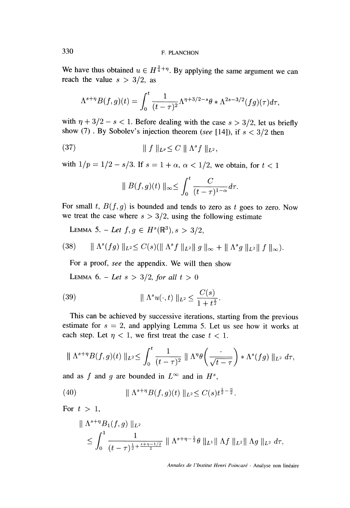We have thus obtained  $u \in H^{\frac{3}{4} + \eta}$ . By applying the same argument we can reach the value  $s > 3/2$ , as

$$
\Lambda^{s+\eta}B(f,g)(t)=\int_0^t\frac{1}{(t-\tau)^2}\Lambda^{\eta+3/2-s}\theta*\Lambda^{2s-3/2}(fg)(\tau)d\tau,
$$

with  $\eta + 3/2 - s < 1$ . Before dealing with the case  $s > 3/2$ , let us briefly show (7). By Sobolev's injection theorem (see [14]), if  $s < 3/2$  then

(37) 
$$
\| f \|_{L^p} \leq C \| \Lambda^s f \|_{L^2},
$$

with  $1/p = 1/2 - s/3$ . If  $s = 1 + \alpha$ ,  $\alpha < 1/2$ , we obtain, for  $t < 1$ 

$$
\|B(f,g)(t)\|_{\infty} \leq \int_0^t \frac{C}{(t-\tau)^{1-\alpha}}d\tau.
$$

For small t,  $B(f, g)$  is bounded and tends to zero as t goes to zero. Now we treat the case where  $s > 3/2$ , using the following estimate

LEMMA 5. - Let  $f, g \in H^s(\mathbb{R}^3), s > 3/2$ ,

(38) 
$$
\|\Lambda^s(fg)\|_{L^2} \leq C(s)(\|\Lambda^s f\|_{L^2}\|g\|_{\infty} + \|\Lambda^s g\|_{L^2}\|f\|_{\infty}).
$$

For a proof, see the appendix. We will then show

LEMMA 6. - Let  $s > 3/2$ , for all  $t > 0$ 

(39) 
$$
\| \Lambda^s u(\cdot, t) \|_{L^2} \leq \frac{C(s)}{1 + t^{\frac{s}{2}}}.
$$

This can be achieved by successive iterations, starting from the previous estimate for  $s = 2$ , and applying Lemma 5. Let us see how it works at each step. Let  $\eta$  < 1, we first treat the case  $t$  < 1.

$$
\|\Lambda^{s+\eta}B(f,g)(t)\|_{L^2}\leq \int_0^t\frac{1}{(t-\tau)^2}\|\Lambda^{\eta}\theta\left(\frac{\cdot}{\sqrt{t-\tau}}\right)*\Lambda^s(fg)\|_{L^2}d\tau,
$$

and as f and g are bounded in  $L^{\infty}$  and in  $H^s$ ,

(40) 
$$
\| \Lambda^{s+\eta} B(f,g)(t) \|_{L^2} \leq C(s) t^{\frac{1}{2} - \frac{\eta}{2}}.
$$

For  $t > 1$ ,

$$
\|\Lambda^{s+\eta}B_1(f,g)\|_{L^2} \leq \int_0^1 \frac{1}{(t-\tau)^{\frac{1}{2}+\frac{s+\eta-1/2}{2}}}\|\Lambda^{s+\eta-\frac{1}{2}}\theta\|_{L^1}\|\Lambda f\|_{L^2}\|\Lambda g\|_{L^2}d\tau,
$$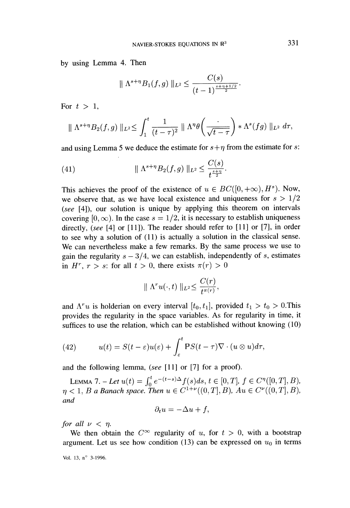by using Lemma 4. Then

$$
\|\Lambda^{s+\eta}B_1(f,g)\|_{L^2}\leq \frac{C(s)}{(t-1)^{\frac{s+\eta+1/2}{2}}}.
$$

For  $t > 1$ ,

$$
\|\Lambda^{s+\eta}B_2(f,g)\|_{L^2}\leq \int_1^t \frac{1}{(t-\tau)^2}\|\Lambda^{\eta}\theta\left(\frac{\cdot}{\sqrt{t-\tau}}\right)*\Lambda^s(fg)\|_{L^2}d\tau,
$$

and using Lemma 5 we deduce the estimate for  $s + \eta$  from the estimate for s:

(41) 
$$
\| \Lambda^{s+\eta} B_2(f,g) \|_{L^2} \leq \frac{C(s)}{t^{\frac{s+\eta}{2}}}
$$

This achieves the proof of the existence of  $u \in BC([0, +\infty), H^s)$ . Now, we observe that, as we have local existence and uniqueness for  $s > 1/2$ (see [4]), our solution is unique by applying this theorem on intervals covering  $[0, \infty)$ . In the case  $s = 1/2$ , it is necessary to establish uniqueness directly, (see [4] or [11]). The reader should refer to [11] or [7], in order to see why a solution of (11) is actually a solution in the classical sense. We can nevertheless make a few remarks. By the same process we use to gain the regularity  $s - 3/4$ , we can establish, independently of s, estimates in H<sup>r</sup>,  $r > s$ ; for all  $t > 0$ , there exists  $\pi(r) > 0$ 

$$
\| \Lambda^r u(\cdot,t) \|_{L^2} \leq \frac{C(r)}{t^{\pi(r)}},
$$

and  $\Lambda^{r}u$  is holderian on every interval  $[t_0, t_1]$ , provided  $t_1 > t_0 > 0$ . This provides the regularity in the space variables. As for regularity in time, it suffices to use the relation, which can be established without knowing (10)

(42) 
$$
u(t) = S(t-\varepsilon)u(\varepsilon) + \int_{\varepsilon}^{t} \mathbb{P}S(t-\tau)\nabla \cdot (u\otimes u)d\tau,
$$

and the following lemma, (see [11] or [7] for a proof).

Lemma 7. - Let  $u(t) = \int_0^t e^{-(t-s)\Delta} f(s)ds, t \in [0, T], f \in C^{\eta}([0, T], B),$  $\eta < 1, B$  a Banach space. Then  $u \in C^{1+\nu}((0,T],B)$ ,  $Au \in \Omega$ and

$$
\partial_t u = -\Delta u + f,
$$

for all  $\nu < \eta$ .

We then obtain the  $C^{\infty}$  regularity of u, for  $t > 0$ , with a bootstrap argument. Let us see how condition (13) can be expressed on  $u_0$  in terms

Vol. 13,  $n^{\circ}$  3-1996.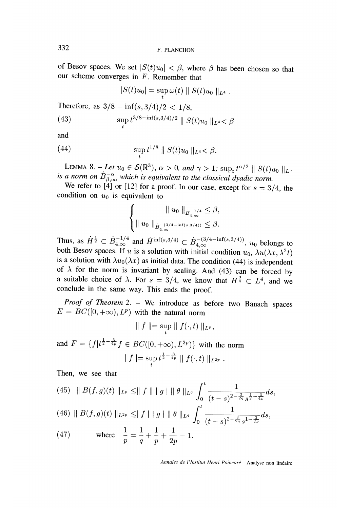of Besov spaces. We set  $|S(t)u_0| < \beta$ , where  $\beta$  has been chosen so that our scheme converges in  $F$ . Remember that

$$
|S(t)u_0| = \sup_t \omega(t) || S(t)u_0 ||_{L^4} .
$$

Therefore, as  $3/8 - \inf(s, 3/4)/2 < 1/8$ ,

(43) 
$$
\sup_{t} t^{3/8 - \inf(s, 3/4)/2} \| S(t) u_0 \|_{L^4} < \beta
$$

and

(44) 
$$
\sup_{t} t^{1/8} \parallel S(t)u_0 \parallel_{L^4} < \beta.
$$

LEMMA 8. - Let  $u_0 \in S(\mathbb{R}^3)$ ,  $\alpha > 0$ , and  $\gamma > 1$ ;  $\sup_t t^{\alpha/2} \parallel S(t)u_0 \parallel_{L^{\gamma}}$ <br>is a norm on  $B_{\beta,\infty}^{-\alpha}$  which is equivalent to the classical dyadic norm.

We refer to [4] or [12] for a proof. In our case, except for  $s = 3/4$ , the condition on  $u_0$  is equivalent to

$$
\left\{\n\begin{aligned}\n\|u_0\|_{\dot{B}^{-1/4}_{4,\infty}} &\leq \beta, \\
\|u_0\|_{\dot{B}^{-3/4-\inf(s,3/4))}_{4,\infty}} &\leq \beta.\n\end{aligned}\n\right.
$$

Thus, as  $\dot{H}^{\frac{1}{2}} \subset \dot{B}_{4,\infty}^{-1/4}$  and  $\dot{H}^{\text{inf}(s,3/4)} \subset \dot{B}_{4,\infty}^{-(3/4-\text{inf}(s,3/4))}$ ,  $u_0$  belongs to both Besov spaces. If u is a solution with initial condition  $u_0$ ,  $\lambda u(\lambda x, \lambda^2 t)$ is a solution with  $\lambda u_0(\lambda x)$  as initial data. The condition (44) is independent<br>of  $\lambda$  for the norm is invariant by scaling. And (43) can be forced by<br>a suitable choice of  $\lambda$ . For  $s = 3/4$ , we know that  $H^{\frac{3}{4}} \subset L$ conclude in the same way. This ends the proof.

Proof of Theorem 2. - We introduce as before two Banach spaces  $E = BC([0, +\infty), L^p)$  with the natural norm

$$
\parallel f \parallel = \sup_{t} \parallel f(\cdot, t) \parallel_{L^p},
$$

and  $F = \{f | t^{\frac{1}{2} - \frac{3}{4p}} f \in BC([0, +\infty), L^{2p})\}$  with the norm  $\mid f \mid = \sup_{t} t^{\frac{1}{2}-\frac{3}{4p}} \parallel f(\cdot,t) \parallel_{L^{2p}}.$ 

Then, we see that

$$
(45) \|B(f,g)(t)\|_{L^p} \le \|f\| \|g\| \| \theta \|_{L^q} \int_0^t \frac{1}{(t-s)^{2-\frac{3}{2q}} s^{\frac{1}{2}-\frac{3}{4p}}} ds.
$$

$$
(46)\,\parallel B(f,g)(t)\parallel_{L^{2p}}\,\leq\mid f\mid\,\parallel g\mid\,\parallel\theta\parallel_{L^q}\,\int_0^{\cdot}\frac{1}{(t-s)^{2-\frac{3}{2q}}s^{1-\frac{3}{2p}}}ds,
$$

(47) where 
$$
\frac{1}{p} = \frac{1}{q} + \frac{1}{p} + \frac{1}{2p} - 1
$$
.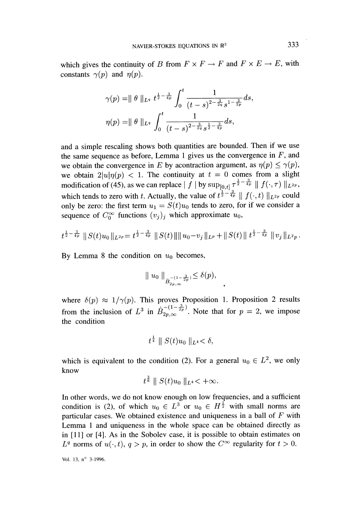which gives the continuity of B from  $F \times F \to F$  and  $F \times E \to E$ , with constants  $\gamma(p)$  and  $\eta(p)$ .

$$
\gamma(p) = || \theta ||_{L^q} t^{\frac{1}{2} - \frac{3}{4p}} \int_0^t \frac{1}{(t-s)^{2 - \frac{3}{2q}} s^{1 - \frac{3}{2p}}} ds
$$

$$
\eta(p) = || \theta ||_{L^q} \int_0^t \frac{1}{(t-s)^{2 - \frac{3}{2q}} s^{\frac{1}{2} - \frac{3}{4p}}} ds,
$$

and a simple rescaling shows both quantities are bounded. Then if we use the same sequence as before, Lemma 1 gives us the convergence in F, and we obtain the convergence in E by acontraction argument, as  $\eta(p) \leq \gamma(p)$ , we obtain  $2|u|\eta(p) < 1$ . The continuity at  $t = 0$  comes from a slight modification of (45), as we can replace  $\int f |\text{ by sup}_{[0,t]} \tau^{\frac{1}{2} - \frac{3}{4p}} \| f(\cdot, \tau) \|_{L^{2p}}$ , which tends to zero with t. Actually, the value of  $t^{\frac{1}{2}-\frac{3}{4p}} \parallel f(\cdot, t) \parallel_{L^{2p}}$  could only be zero: the first term  $u_1 = S(t)u_0$  tends to zero, for if we consider a sequence of  $C_0^{\infty}$  functions  $(v_i)_i$  which approximate  $u_0$ ,

$$
t^{\frac{1}{2}-\frac{3}{4p}}\left\|S(t)u_0\right\|_{L^{2p}}=t^{\frac{1}{2}-\frac{3}{4p}}\left\|S(t)\right\|\left\|u_0-v_j\right\|_{L^p}+\left\|S(t)\right\|t^{\frac{1}{2}-\frac{3}{4p}}\left\|v_j\right\|_{L^2p}.
$$

By Lemma 8 the condition on  $u_0$  becomes,

$$
\|u_0\|_{\dot{B}^{-(1-\frac{3}{2p})}_{2p,\infty}} \leq \delta(p),
$$

where  $\delta(p) \approx 1/\gamma(p)$ . This proves Proposition 1. Proposition 2 results from the inclusion of  $L^3$  in  $\dot{B}_{2p,\infty}^{-(1-\frac{\gamma}{2p})}$ . Note that for  $p=2$ , we impose the condition

$$
t^{\frac{1}{4}} \parallel S(t)u_0 \parallel_{L^4} < \delta,
$$

which is equivalent to the condition (2). For a general  $u_0 \in L^2$ , we only know  $\overline{a}$ 

$$
t^{\frac{3}{8}}
$$
 ||  $S(t)u_0$  || $L^4 < +\infty$ .

In other words, we do not know enough on low frequencies, and a sufficient condition is (2), of which  $u_0 \in L^3$  or  $u_0 \in H^{\frac{1}{2}}$  with small norms are particular cases. We obtained existence and uniqueness in a ball of  $F$  with Lemma 1 and uniqueness in the whole space can be obtained directly as in [11] or [4]. As in the Sobolev case, it is possible to obtain estimates on  $L^q$  norms of  $u(\cdot, t)$ ,  $q > p$ , in order to show the  $C^{\infty}$  regularity for  $t > 0$ .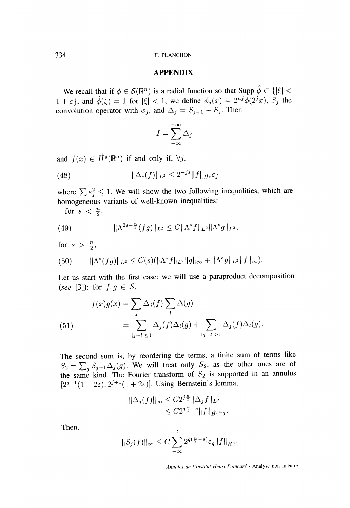#### APPENDIX

We recall that if  $\phi \in \mathcal{S}(\mathbb{R}^n)$  is a radial function so that Supp  $\hat{\phi} \subset \{|\xi| < \theta\}$  $1 + \varepsilon$ , and  $\hat{\phi}(\xi) = 1$  for  $|\xi| < 1$ , we define  $\phi_i(x) = 2^{nj} \hat{\phi}(2^j x)$ ,  $S_i$  the convolution operator with  $\phi_j$ , and  $\Delta_j = S_{j+1} - S_j$ . Then

$$
I = \sum_{-\infty}^{+\infty} \Delta_j
$$

and  $f(x) \in \dot{H}^s(\mathbb{R}^n)$  if and only if,  $\forall j$ ,

(48) 
$$
\|\Delta_j(f)\|_{L^2} \le 2^{-js} \|f\|_{\dot{H}^s} \varepsilon_j
$$

where  $\sum \varepsilon_j^2 \leq 1$ . We will show the two following inequalities, which are homogeneous variants of well-known inequalities:

for  $s < \frac{n}{2}$ ,

(49) 
$$
\|\Lambda^{2s-\frac{n}{2}}(fg)\|_{L^2} \leq C\|\Lambda^s f\|_{L^2}\|\Lambda^s g\|_{L^2},
$$

for  $s > \frac{n}{2}$ ,

$$
(50) \t\t ||\Lambda^s(fg)||_{L^2} \leq C(s)(\|\Lambda^s f\|_{L^2} \|g\|_{\infty} + \|\Lambda^s g\|_{L^2} \|f\|_{\infty}).
$$

Let us start with the first case: we will use a paraproduct decomposition (see [3]): for  $f, g \in S$ ,

(51)  

$$
f(x)g(x) = \sum_{j} \Delta_j(f) \sum_{l} \Delta(g)
$$

$$
= \sum_{|j-l| \le 1} \Delta_j(f) \Delta_l(g) + \sum_{|j-l| \ge 1} \Delta_j(f) \Delta_l(g).
$$

The second sum is, by reordering the terms, a finite sum of terms like  $S_2 = \sum_j S_{j-1} \Delta_j(g)$ . We will treat only  $S_2$ , as the other ones are of the same kind. The Fourier transform of  $S_2$  is supported in an annulus  $[2^{j-1}(1-2\varepsilon), 2^{j+1}(1+2\varepsilon)].$  Using Bernstein's lemma,

$$
\|\Delta_j(f)\|_{\infty} \leq C2^{j\frac{n}{2}} \|\Delta_j f\|_{L^2}
$$
  

$$
\leq C2^{j\frac{n}{2}-s} \|f\|_{\dot{H}^s} \varepsilon_j.
$$

Then,

$$
||S_j(f)||_{\infty} \leq C \sum_{-\infty}^{j} 2^{q(\frac{n}{2}-s)} \varepsilon_q ||f||_{\dot{H}^s}.
$$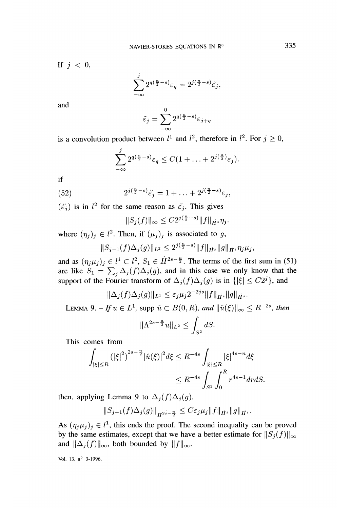If  $j < 0$ ,

$$
\sum_{-\infty}^{j} 2^{q(\frac{n}{2}-s)} \varepsilon_q = 2^{j(\frac{n}{2}-s)} \tilde{\varepsilon_j},
$$

and

$$
\tilde{\varepsilon}_j = \sum_{-\infty}^0 2^{q(\frac{n}{2} - s)} \varepsilon_{j+q}
$$

is a convolution product between  $l^1$  and  $l^2$ , therefore in  $l^2$ . For  $j \geq 0$ ,

$$
\sum_{-\infty}^{j} 2^{q(\frac{n}{2}-s)} \varepsilon_q \leq C(1+\ldots+2^{j(\frac{n}{2})} \varepsilon_j).
$$

if

(52) 
$$
2^{j(\frac{n}{2}-s)}\check{\varepsilon}_j = 1 + \ldots + 2^{j(\frac{n}{2}-s)}\varepsilon_j,
$$

 $(\check{\varepsilon}_i)$  is in  $l^2$  for the same reason as  $\check{\varepsilon}_i$ . This gives

$$
||S_j(f)||_{\infty} \leq C2^{j(\frac{n}{2}-s)}||f||_{\dot{H}^s}\eta_j
$$

where  $(\eta_j)_j \in l^2$ . Then, if  $(\mu_j)_j$  is associated to g,

$$
||S_{j-1}(f)\Delta_j(g)||_{L^2} \leq 2^{j(\frac{n}{2}-s)}||f||_{\dot{H}^s}||g||_{\dot{H}^s}\eta_j\mu_j,
$$

and as  $(\eta_j \mu_j)_j \in l^1 \subset l^2$ ,  $S_1 \in \dot{H}^{2s-\frac{n}{2}}$ . The terms of the first sum in (51) are like  $S_1 = \sum_j \Delta_j(f) \Delta_j(g)$ , and in this case we only know that the support of the Fourier transform of  $\Delta_i(f)\Delta_i(g)$  is in  $\{|\xi| \leq C2^i\}$ , and

$$
\|\Delta_j(f)\Delta_j(g)\|_{L^1} \le \varepsilon_j \mu_j 2^{-2js} \|f\|_{\dot{H}^s} \|g\|_{\dot{H}^s}.
$$
  

$$
H \le \varepsilon L^1 \text{ even } \hat{L} \in B(0, R) \text{ and } \|\hat{u}(\hat{c})\|_{\dot{H}^s}.
$$

LEMMA 9. - If  $u \in L^1$ , supp  $\hat{u} \subset B(0,R)$ , and  $\|\hat{u}(\xi)\|_{\infty} \leq R^{-2s}$ , then

$$
\|\Lambda^{2s-\frac{n}{2}}u\|_{L^2}\leq \int_{S^2}dS
$$

This comes from

$$
\int_{|\xi| \le R} (|\xi|^2)^{2s - \frac{n}{2}} |\hat{u}(\xi)|^2 d\xi \le R^{-4s} \int_{|\xi| \le R} |\xi|^{4s - n} d\xi
$$
  

$$
\le R^{-4s} \int_{S^2} \int_0^R r^{4s - 1} dr dS
$$

then, applying Lemma 9 to  $\Delta_j(f)\Delta_j(g)$ ,

$$
||S_{j-1}(f)\Delta_j(g)||_{H^{2s-\frac{n}{2}}} \leq C\varepsilon_j\mu_j||f||_{\dot{H}^s}||g||_{\dot{H}^s}.
$$

As  $(\eta_j \mu_j)_j \in l^1$ , this ends the proof. The second inequality can be proved by the same estimates, except that we have a better estimate for  $||S_i(f)||_{\infty}$ and  $\|\Delta_i(f)\|_{\infty}$ , both bounded by  $\|f\|_{\infty}$ .